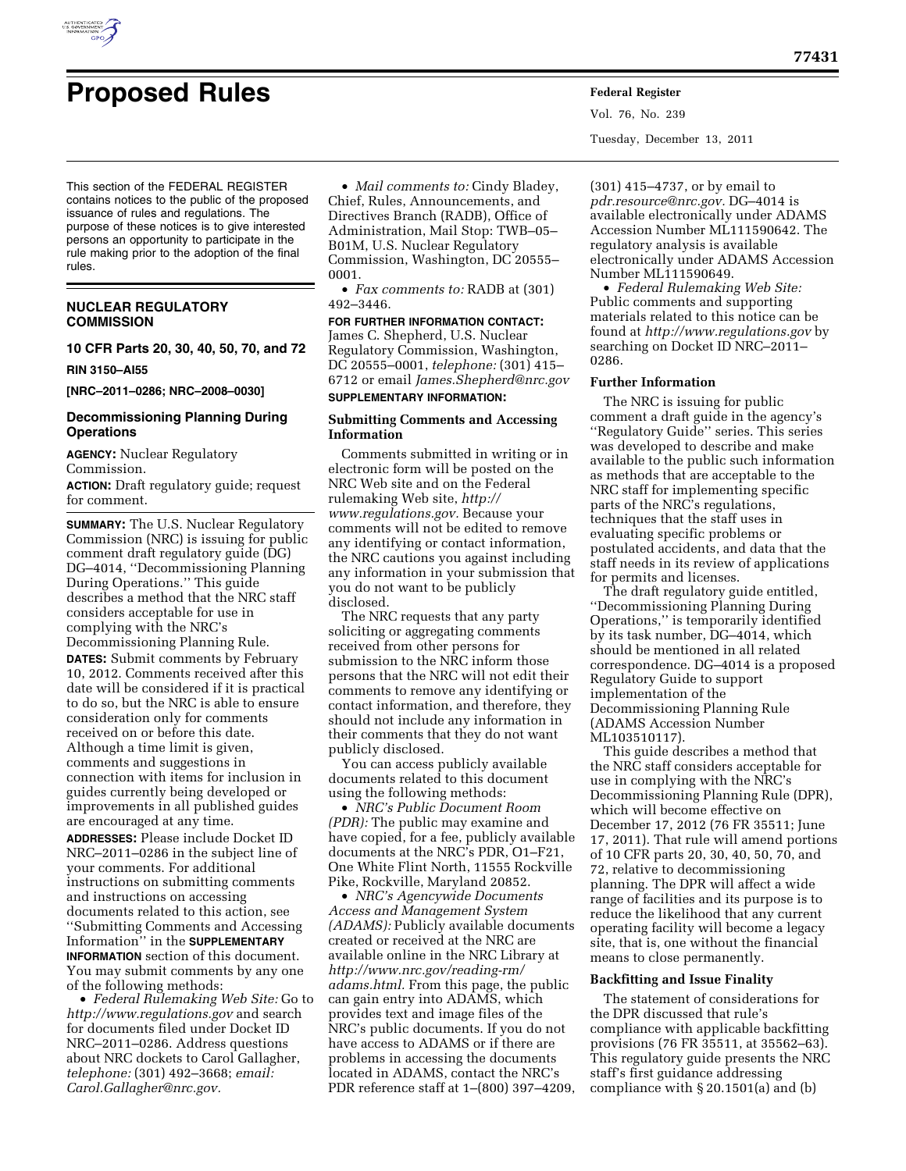

Vol. 76, No. 239 Tuesday, December 13, 2011

This section of the FEDERAL REGISTER contains notices to the public of the proposed issuance of rules and regulations. The purpose of these notices is to give interested persons an opportunity to participate in the rule making prior to the adoption of the final rules.

# **NUCLEAR REGULATORY COMMISSION**

**10 CFR Parts 20, 30, 40, 50, 70, and 72** 

#### **RIN 3150–AI55**

**[NRC–2011–0286; NRC–2008–0030]** 

# **Decommissioning Planning During Operations**

**AGENCY:** Nuclear Regulatory Commission.

**ACTION:** Draft regulatory guide; request for comment.

**SUMMARY:** The U.S. Nuclear Regulatory Commission (NRC) is issuing for public comment draft regulatory guide (DG) DG–4014, ''Decommissioning Planning During Operations.'' This guide describes a method that the NRC staff considers acceptable for use in complying with the NRC's Decommissioning Planning Rule. **DATES:** Submit comments by February 10, 2012. Comments received after this date will be considered if it is practical to do so, but the NRC is able to ensure consideration only for comments received on or before this date. Although a time limit is given, comments and suggestions in connection with items for inclusion in guides currently being developed or improvements in all published guides are encouraged at any time.

**ADDRESSES:** Please include Docket ID NRC–2011–0286 in the subject line of your comments. For additional instructions on submitting comments and instructions on accessing documents related to this action, see ''Submitting Comments and Accessing Information'' in the **SUPPLEMENTARY INFORMATION** section of this document. You may submit comments by any one of the following methods:

• *Federal Rulemaking Web Site:* Go to *<http://www.regulations.gov>* and search for documents filed under Docket ID NRC–2011–0286. Address questions about NRC dockets to Carol Gallagher, *telephone:* (301) 492–3668; *email: [Carol.Gallagher@nrc.gov.](mailto:Carol.Gallagher@nrc.gov)* 

• *Mail comments to:* Cindy Bladey, Chief, Rules, Announcements, and Directives Branch (RADB), Office of Administration, Mail Stop: TWB–05– B01M, U.S. Nuclear Regulatory Commission, Washington, DC 20555– 0001.

• *Fax comments to:* RADB at (301) 492–3446.

# **FOR FURTHER INFORMATION CONTACT:**

James C. Shepherd, U.S. Nuclear Regulatory Commission, Washington, DC 20555–0001, *telephone:* (301) 415– 6712 or email *[James.Shepherd@nrc.gov](mailto:James.Shepherd@nrc.gov)*  **SUPPLEMENTARY INFORMATION:** 

#### **Submitting Comments and Accessing Information**

Comments submitted in writing or in electronic form will be posted on the NRC Web site and on the Federal rulemaking Web site, *[http://](http://www.regulations.gov) [www.regulations.gov.](http://www.regulations.gov)* Because your comments will not be edited to remove any identifying or contact information, the NRC cautions you against including any information in your submission that you do not want to be publicly disclosed.

The NRC requests that any party soliciting or aggregating comments received from other persons for submission to the NRC inform those persons that the NRC will not edit their comments to remove any identifying or contact information, and therefore, they should not include any information in their comments that they do not want publicly disclosed.

You can access publicly available documents related to this document using the following methods:

• *NRC's Public Document Room (PDR):* The public may examine and have copied, for a fee, publicly available documents at the NRC's PDR, O1–F21, One White Flint North, 11555 Rockville Pike, Rockville, Maryland 20852.

• *NRC's Agencywide Documents Access and Management System (ADAMS):* Publicly available documents created or received at the NRC are available online in the NRC Library at *[http://www.nrc.gov/reading-rm/](http://www.nrc.gov/reading-rm/adams.html)  [adams.html.](http://www.nrc.gov/reading-rm/adams.html)* From this page, the public can gain entry into ADAMS, which provides text and image files of the NRC's public documents. If you do not have access to ADAMS or if there are problems in accessing the documents located in ADAMS, contact the NRC's PDR reference staff at 1–(800) 397–4209,

(301) 415–4737, or by email to *[pdr.resource@nrc.gov.](mailto:pdr.resource@nrc.gov)* DG–4014 is available electronically under ADAMS Accession Number ML111590642. The regulatory analysis is available electronically under ADAMS Accession Number ML111590649.

• *Federal Rulemaking Web Site:*  Public comments and supporting materials related to this notice can be found at *<http://www.regulations.gov>* by searching on Docket ID NRC–2011– 0286.

### **Further Information**

The NRC is issuing for public comment a draft guide in the agency's ''Regulatory Guide'' series. This series was developed to describe and make available to the public such information as methods that are acceptable to the NRC staff for implementing specific parts of the NRC's regulations, techniques that the staff uses in evaluating specific problems or postulated accidents, and data that the staff needs in its review of applications for permits and licenses.

The draft regulatory guide entitled, ''Decommissioning Planning During Operations,'' is temporarily identified by its task number, DG–4014, which should be mentioned in all related correspondence. DG–4014 is a proposed Regulatory Guide to support implementation of the Decommissioning Planning Rule (ADAMS Accession Number ML103510117).

This guide describes a method that the NRC staff considers acceptable for use in complying with the NRC's Decommissioning Planning Rule (DPR), which will become effective on December 17, 2012 (76 FR 35511; June 17, 2011). That rule will amend portions of 10 CFR parts 20, 30, 40, 50, 70, and 72, relative to decommissioning planning. The DPR will affect a wide range of facilities and its purpose is to reduce the likelihood that any current operating facility will become a legacy site, that is, one without the financial means to close permanently.

## **Backfitting and Issue Finality**

The statement of considerations for the DPR discussed that rule's compliance with applicable backfitting provisions (76 FR 35511, at 35562–63). This regulatory guide presents the NRC staff's first guidance addressing compliance with § 20.1501(a) and (b)